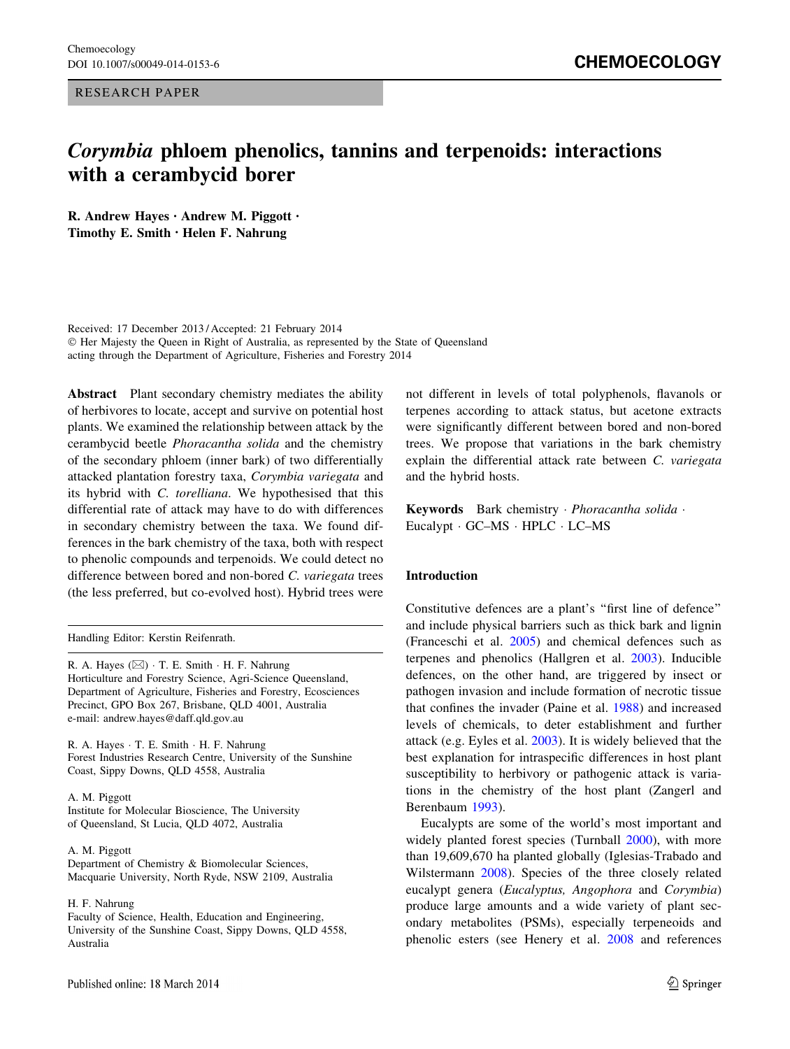RESEARCH PAPER

# Corymbia phloem phenolics, tannins and terpenoids: interactions with a cerambycid borer

R. Andrew Hayes • Andrew M. Piggott • Timothy E. Smith • Helen F. Nahrung

Received: 17 December 2013 / Accepted: 21 February 2014 - Her Majesty the Queen in Right of Australia, as represented by the State of Queensland acting through the Department of Agriculture, Fisheries and Forestry 2014

Abstract Plant secondary chemistry mediates the ability of herbivores to locate, accept and survive on potential host plants. We examined the relationship between attack by the cerambycid beetle Phoracantha solida and the chemistry of the secondary phloem (inner bark) of two differentially attacked plantation forestry taxa, Corymbia variegata and its hybrid with C. torelliana. We hypothesised that this differential rate of attack may have to do with differences in secondary chemistry between the taxa. We found differences in the bark chemistry of the taxa, both with respect to phenolic compounds and terpenoids. We could detect no difference between bored and non-bored C. variegata trees (the less preferred, but co-evolved host). Hybrid trees were

Handling Editor: Kerstin Reifenrath.

R. A. Hayes  $(\boxtimes) \cdot$  T. E. Smith  $\cdot$  H. F. Nahrung Horticulture and Forestry Science, Agri-Science Queensland, Department of Agriculture, Fisheries and Forestry, Ecosciences Precinct, GPO Box 267, Brisbane, QLD 4001, Australia e-mail: andrew.hayes@daff.qld.gov.au

R. A. Hayes · T. E. Smith · H. F. Nahrung Forest Industries Research Centre, University of the Sunshine Coast, Sippy Downs, QLD 4558, Australia

A. M. Piggott

Institute for Molecular Bioscience, The University of Queensland, St Lucia, QLD 4072, Australia

#### A. M. Piggott

Department of Chemistry & Biomolecular Sciences, Macquarie University, North Ryde, NSW 2109, Australia

#### H. F. Nahrung

Faculty of Science, Health, Education and Engineering, University of the Sunshine Coast, Sippy Downs, QLD 4558, Australia

not different in levels of total polyphenols, flavanols or terpenes according to attack status, but acetone extracts were significantly different between bored and non-bored trees. We propose that variations in the bark chemistry explain the differential attack rate between C. variegata and the hybrid hosts.

Keywords Bark chemistry · Phoracantha solida · Eucalypt - GC–MS - HPLC - LC–MS

# Introduction

Constitutive defences are a plant's ''first line of defence'' and include physical barriers such as thick bark and lignin (Franceschi et al. [2005](#page-8-0)) and chemical defences such as terpenes and phenolics (Hallgren et al. [2003\)](#page-8-0). Inducible defences, on the other hand, are triggered by insect or pathogen invasion and include formation of necrotic tissue that confines the invader (Paine et al. [1988](#page-8-0)) and increased levels of chemicals, to deter establishment and further attack (e.g. Eyles et al. [2003\)](#page-8-0). It is widely believed that the best explanation for intraspecific differences in host plant susceptibility to herbivory or pathogenic attack is variations in the chemistry of the host plant (Zangerl and Berenbaum [1993\)](#page-8-0).

Eucalypts are some of the world's most important and widely planted forest species (Turnball [2000](#page-8-0)), with more than 19,609,670 ha planted globally (Iglesias-Trabado and Wilstermann [2008\)](#page-8-0). Species of the three closely related eucalypt genera (Eucalyptus, Angophora and Corymbia) produce large amounts and a wide variety of plant secondary metabolites (PSMs), especially terpeneoids and phenolic esters (see Henery et al. [2008](#page-8-0) and references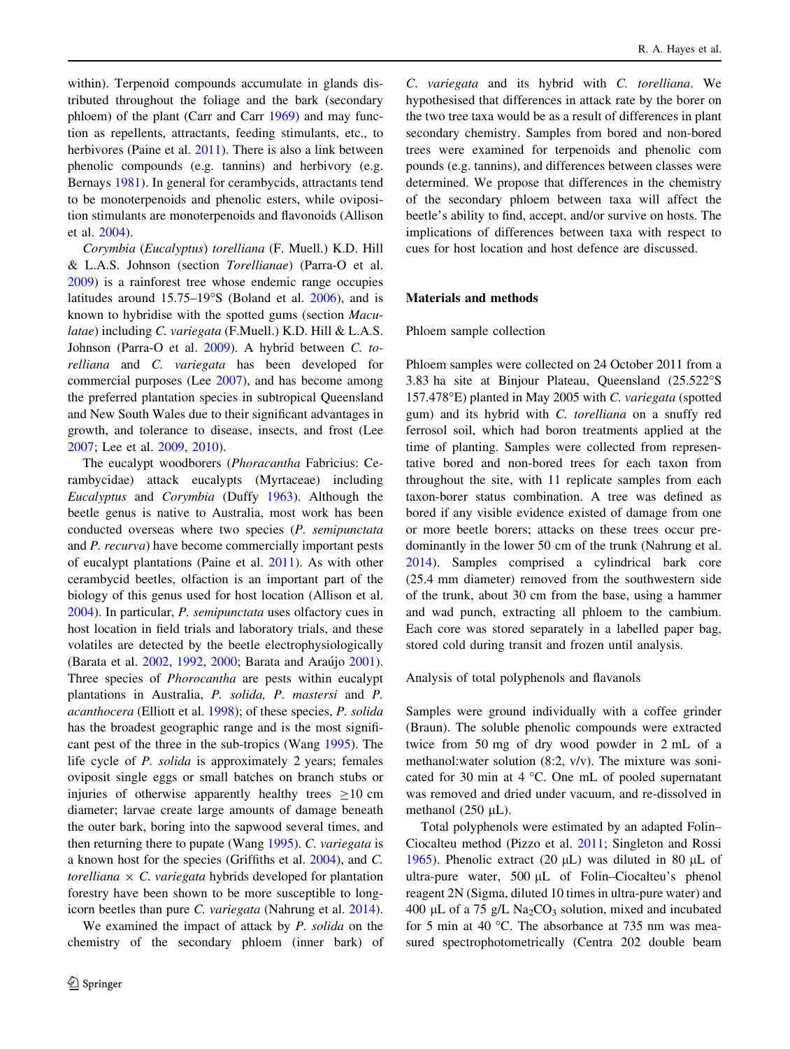within). Terpenoid compounds accumulate in glands distributed throughout the foliage and the bark (secondary phloem) of the plant (Carr and Carr [1969\)](#page-7-0) and may function as repellents, attractants, feeding stimulants, etc., to herbivores (Paine et al. [2011\)](#page-8-0). There is also a link between phenolic compounds (e.g. tannins) and herbivory (e.g. Bernays [1981](#page-7-0)). In general for cerambycids, attractants tend to be monoterpenoids and phenolic esters, while oviposition stimulants are monoterpenoids and flavonoids (Allison et al. [2004\)](#page-7-0).

Corymbia (Eucalyptus) torelliana (F. Muell.) K.D. Hill & L.A.S. Johnson (section Torellianae) (Parra-O et al. [2009\)](#page-8-0) is a rainforest tree whose endemic range occupies latitudes around  $15.75-19^{\circ}$ S (Boland et al.  $2006$ ), and is known to hybridise with the spotted gums (section Maculatae) including C. variegata (F.Muell.) K.D. Hill & L.A.S. Johnson (Parra-O et al. [2009\)](#page-8-0). A hybrid between C. torelliana and C. variegata has been developed for commercial purposes (Lee [2007\)](#page-8-0), and has become among the preferred plantation species in subtropical Queensland and New South Wales due to their significant advantages in growth, and tolerance to disease, insects, and frost (Lee [2007;](#page-8-0) Lee et al. [2009](#page-8-0), [2010\)](#page-8-0).

The eucalypt woodborers (Phoracantha Fabricius: Cerambycidae) attack eucalypts (Myrtaceae) including Eucalyptus and Corymbia (Duffy [1963](#page-7-0)). Although the beetle genus is native to Australia, most work has been conducted overseas where two species (P. semipunctata and P. recurva) have become commercially important pests of eucalypt plantations (Paine et al. [2011\)](#page-8-0). As with other cerambycid beetles, olfaction is an important part of the biology of this genus used for host location (Allison et al. [2004\)](#page-7-0). In particular, P. semipunctata uses olfactory cues in host location in field trials and laboratory trials, and these volatiles are detected by the beetle electrophysiologically (Barata et al. [2002](#page-7-0), [1992](#page-7-0), [2000;](#page-7-0) Barata and Araújo [2001](#page-7-0)). Three species of Phorocantha are pests within eucalypt plantations in Australia, P. solida, P. mastersi and P. acanthocera (Elliott et al. [1998\)](#page-8-0); of these species, P. solida has the broadest geographic range and is the most significant pest of the three in the sub-tropics (Wang [1995\)](#page-8-0). The life cycle of P. solida is approximately 2 years; females oviposit single eggs or small batches on branch stubs or injuries of otherwise apparently healthy trees  $>10$  cm diameter; larvae create large amounts of damage beneath the outer bark, boring into the sapwood several times, and then returning there to pupate (Wang [1995\)](#page-8-0). C. variegata is a known host for the species (Griffiths et al. [2004\)](#page-8-0), and C. torelliana  $\times$  C. variegata hybrids developed for plantation forestry have been shown to be more susceptible to longicorn beetles than pure C. variegata (Nahrung et al. [2014](#page-8-0)).

We examined the impact of attack by P. solida on the chemistry of the secondary phloem (inner bark) of

C. variegata and its hybrid with C. torelliana. We hypothesised that differences in attack rate by the borer on the two tree taxa would be as a result of differences in plant secondary chemistry. Samples from bored and non-bored trees were examined for terpenoids and phenolic com pounds (e.g. tannins), and differences between classes were determined. We propose that differences in the chemistry of the secondary phloem between taxa will affect the beetle's ability to find, accept, and/or survive on hosts. The implications of differences between taxa with respect to cues for host location and host defence are discussed.

# Materials and methods

#### Phloem sample collection

Phloem samples were collected on 24 October 2011 from a 3.83 ha site at Binjour Plateau, Queensland (25.522S 157.478 $^{\circ}$ E) planted in May 2005 with C. variegata (spotted gum) and its hybrid with C. torelliana on a snuffy red ferrosol soil, which had boron treatments applied at the time of planting. Samples were collected from representative bored and non-bored trees for each taxon from throughout the site, with 11 replicate samples from each taxon-borer status combination. A tree was defined as bored if any visible evidence existed of damage from one or more beetle borers; attacks on these trees occur predominantly in the lower 50 cm of the trunk (Nahrung et al. [2014](#page-8-0)). Samples comprised a cylindrical bark core (25.4 mm diameter) removed from the southwestern side of the trunk, about 30 cm from the base, using a hammer and wad punch, extracting all phloem to the cambium. Each core was stored separately in a labelled paper bag, stored cold during transit and frozen until analysis.

Analysis of total polyphenols and flavanols

Samples were ground individually with a coffee grinder (Braun). The soluble phenolic compounds were extracted twice from 50 mg of dry wood powder in 2 mL of a methanol:water solution (8:2, v/v). The mixture was sonicated for 30 min at  $4^{\circ}$ C. One mL of pooled supernatant was removed and dried under vacuum, and re-dissolved in methanol  $(250 \mu L)$ .

Total polyphenols were estimated by an adapted Folin– Ciocalteu method (Pizzo et al. [2011;](#page-8-0) Singleton and Rossi [1965](#page-8-0)). Phenolic extract (20  $\mu$ L) was diluted in 80  $\mu$ L of ultra-pure water,  $500 \mu L$  of Folin–Ciocalteu's phenol reagent 2N (Sigma, diluted 10 times in ultra-pure water) and 400 µL of a 75 g/L Na<sub>2</sub>CO<sub>3</sub> solution, mixed and incubated for 5 min at 40  $^{\circ}$ C. The absorbance at 735 nm was measured spectrophotometrically (Centra 202 double beam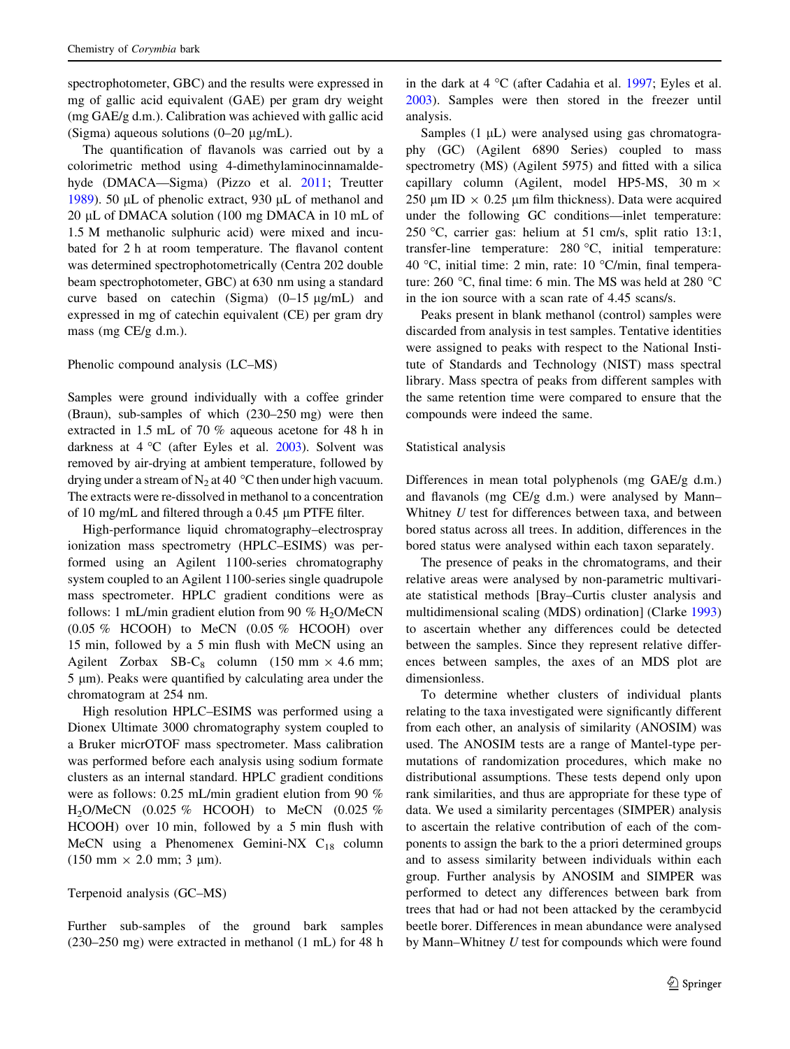spectrophotometer, GBC) and the results were expressed in mg of gallic acid equivalent (GAE) per gram dry weight (mg GAE/g d.m.). Calibration was achieved with gallic acid (Sigma) aqueous solutions  $(0-20 \mu g/mL)$ .

The quantification of flavanols was carried out by a colorimetric method using 4-dimethylaminocinnamaldehyde (DMACA—Sigma) (Pizzo et al. [2011](#page-8-0); Treutter [1989\)](#page-8-0). 50  $\mu$ L of phenolic extract, 930  $\mu$ L of methanol and 20 µL of DMACA solution (100 mg DMACA in 10 mL of 1.5 M methanolic sulphuric acid) were mixed and incubated for 2 h at room temperature. The flavanol content was determined spectrophotometrically (Centra 202 double beam spectrophotometer, GBC) at 630 nm using a standard curve based on catechin (Sigma)  $(0-15 \text{ µg/mL})$  and expressed in mg of catechin equivalent (CE) per gram dry mass (mg CE/g d.m.).

# Phenolic compound analysis (LC–MS)

Samples were ground individually with a coffee grinder (Braun), sub-samples of which (230–250 mg) were then extracted in 1.5 mL of 70 % aqueous acetone for 48 h in darkness at  $4^{\circ}$ C (after Eyles et al. [2003\)](#page-8-0). Solvent was removed by air-drying at ambient temperature, followed by drying under a stream of  $N_2$  at 40 °C then under high vacuum. The extracts were re-dissolved in methanol to a concentration of 10 mg/mL and filtered through a  $0.45 \mu$ m PTFE filter.

High-performance liquid chromatography–electrospray ionization mass spectrometry (HPLC–ESIMS) was performed using an Agilent 1100-series chromatography system coupled to an Agilent 1100-series single quadrupole mass spectrometer. HPLC gradient conditions were as follows: 1 mL/min gradient elution from 90 %  $H_2O/MeCN$  $(0.05\%$  HCOOH) to MeCN  $(0.05\%$  HCOOH) over 15 min, followed by a 5 min flush with MeCN using an Agilent Zorbax SB-C<sub>8</sub> column (150 mm  $\times$  4.6 mm;  $5 \mu m$ ). Peaks were quantified by calculating area under the chromatogram at 254 nm.

High resolution HPLC–ESIMS was performed using a Dionex Ultimate 3000 chromatography system coupled to a Bruker micrOTOF mass spectrometer. Mass calibration was performed before each analysis using sodium formate clusters as an internal standard. HPLC gradient conditions were as follows: 0.25 mL/min gradient elution from 90 %  $H_2O/MeCN$  (0.025 % HCOOH) to MeCN (0.025 % HCOOH) over 10 min, followed by a 5 min flush with MeCN using a Phenomenex Gemini-NX  $C_{18}$  column  $(150 \text{ mm} \times 2.0 \text{ mm}; 3 \text{ µm}).$ 

# Terpenoid analysis (GC–MS)

Further sub-samples of the ground bark samples (230–250 mg) were extracted in methanol (1 mL) for 48 h in the dark at  $4 \text{ }^{\circ}C$  (after Cadahia et al. [1997](#page-7-0); Eyles et al. [2003](#page-8-0)). Samples were then stored in the freezer until analysis.

Samples  $(1 \mu L)$  were analysed using gas chromatography (GC) (Agilent 6890 Series) coupled to mass spectrometry (MS) (Agilent 5975) and fitted with a silica capillary column (Agilent, model HP5-MS, 30 m  $\times$ 250 um ID  $\times$  0.25 um film thickness). Data were acquired under the following GC conditions—inlet temperature: 250 C, carrier gas: helium at 51 cm/s, split ratio 13:1, transfer-line temperature:  $280 °C$ , initial temperature: 40 °C, initial time: 2 min, rate:  $10$  °C/min, final temperature: 260 °C, final time: 6 min. The MS was held at 280 °C in the ion source with a scan rate of 4.45 scans/s.

Peaks present in blank methanol (control) samples were discarded from analysis in test samples. Tentative identities were assigned to peaks with respect to the National Institute of Standards and Technology (NIST) mass spectral library. Mass spectra of peaks from different samples with the same retention time were compared to ensure that the compounds were indeed the same.

# Statistical analysis

Differences in mean total polyphenols (mg GAE/g d.m.) and flavanols (mg CE/g d.m.) were analysed by Mann– Whitney U test for differences between taxa, and between bored status across all trees. In addition, differences in the bored status were analysed within each taxon separately.

The presence of peaks in the chromatograms, and their relative areas were analysed by non-parametric multivariate statistical methods [Bray–Curtis cluster analysis and multidimensional scaling (MDS) ordination] (Clarke [1993\)](#page-7-0) to ascertain whether any differences could be detected between the samples. Since they represent relative differences between samples, the axes of an MDS plot are dimensionless.

To determine whether clusters of individual plants relating to the taxa investigated were significantly different from each other, an analysis of similarity (ANOSIM) was used. The ANOSIM tests are a range of Mantel-type permutations of randomization procedures, which make no distributional assumptions. These tests depend only upon rank similarities, and thus are appropriate for these type of data. We used a similarity percentages (SIMPER) analysis to ascertain the relative contribution of each of the components to assign the bark to the a priori determined groups and to assess similarity between individuals within each group. Further analysis by ANOSIM and SIMPER was performed to detect any differences between bark from trees that had or had not been attacked by the cerambycid beetle borer. Differences in mean abundance were analysed by Mann–Whitney U test for compounds which were found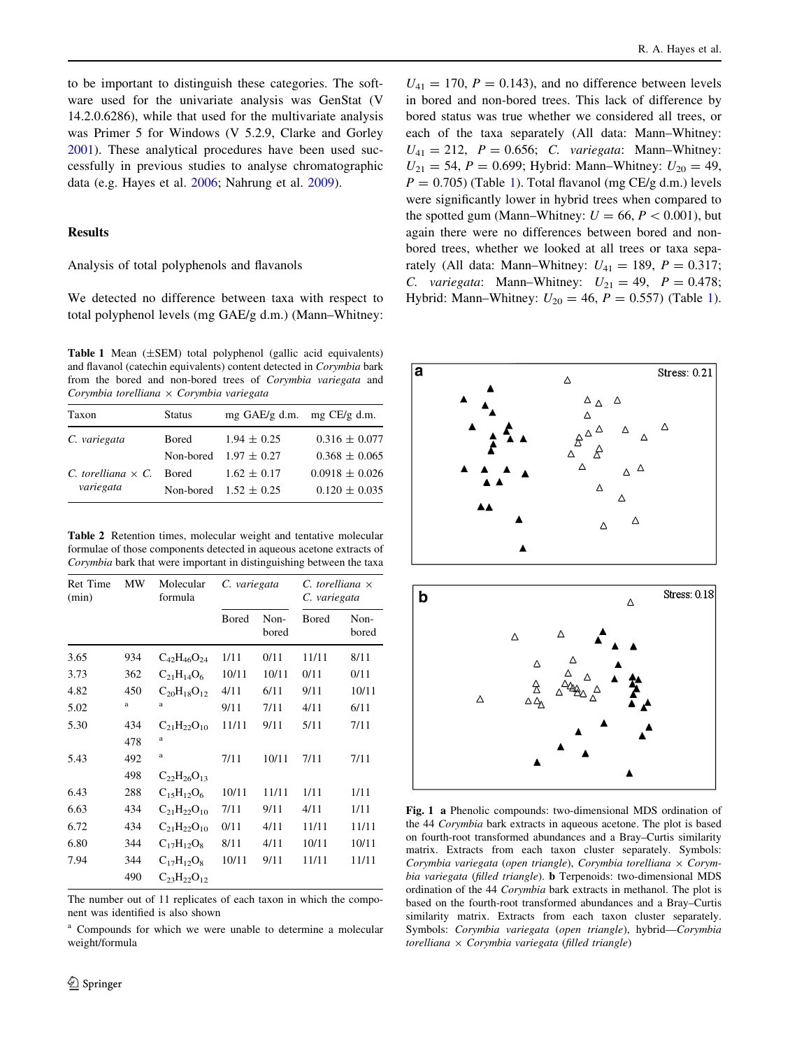<span id="page-3-0"></span>to be important to distinguish these categories. The software used for the univariate analysis was GenStat (V 14.2.0.6286), while that used for the multivariate analysis was Primer 5 for Windows (V 5.2.9, Clarke and Gorley [2001\)](#page-7-0). These analytical procedures have been used successfully in previous studies to analyse chromatographic data (e.g. Hayes et al. [2006](#page-8-0); Nahrung et al. [2009](#page-8-0)).

#### Results

# Analysis of total polyphenols and flavanols

We detected no difference between taxa with respect to total polyphenol levels (mg GAE/g d.m.) (Mann–Whitney:

**Table 1** Mean  $(\pm$ SEM) total polyphenol (gallic acid equivalents) and flavanol (catechin equivalents) content detected in Corymbia bark from the bored and non-bored trees of Corymbia variegata and Corymbia torelliana  $\times$  Corymbia variegata

| Taxon                     | <b>Status</b> | $mg$ GAE/g d.m. $mg$ CE/g d.m. |                    |
|---------------------------|---------------|--------------------------------|--------------------|
| C. variegata              | Bored         | $1.94 \pm 0.25$                | $0.316 \pm 0.077$  |
|                           |               | Non-bored $1.97 \pm 0.27$      | $0.368 \pm 0.065$  |
| C. torelliana $\times$ C. | <b>Bored</b>  | $1.62 \pm 0.17$                | $0.0918 \pm 0.026$ |
| variegata                 |               | Non-bored $1.52 \pm 0.25$      | $0.120 \pm 0.035$  |

Table 2 Retention times, molecular weight and tentative molecular formulae of those components detected in aqueous acetone extracts of Corymbia bark that were important in distinguishing between the taxa

| <b>Ret Time</b><br>(min) | MW  | Molecular<br>formula | C. variegata |               | $C.$ torelliana $\times$<br>C. variegata |               |
|--------------------------|-----|----------------------|--------------|---------------|------------------------------------------|---------------|
|                          |     |                      | Bored        | Non-<br>bored | Bored                                    | Non-<br>bored |
| 3.65                     | 934 | $C_{42}H_{46}O_{24}$ | 1/11         | 0/11          | 11/11                                    | 8/11          |
| 3.73                     | 362 | $C_{21}H_{14}O_6$    | 10/11        | 10/11         | 0/11                                     | 0/11          |
| 4.82                     | 450 | $C_{20}H_{18}O_{12}$ | 4/11         | 6/11          | 9/11                                     | 10/11         |
| 5.02                     | a   | a                    | 9/11         | 7/11          | 4/11                                     | 6/11          |
| 5.30                     | 434 | $C_{21}H_{22}O_{10}$ | 11/11        | 9/11          | 5/11                                     | 7/11          |
|                          | 478 | a                    |              |               |                                          |               |
| 5.43                     | 492 | a                    | 7/11         | 10/11         | 7/11                                     | 7/11          |
|                          | 498 | $C_{22}H_{26}O_{13}$ |              |               |                                          |               |
| 6.43                     | 288 | $C_{15}H_{12}O_6$    | 10/11        | 11/11         | 1/11                                     | 1/11          |
| 6.63                     | 434 | $C_{21}H_{22}O_{10}$ | 7/11         | 9/11          | 4/11                                     | 1/11          |
| 6.72                     | 434 | $C_{21}H_{22}O_{10}$ | 0/11         | 4/11          | 11/11                                    | 11/11         |
| 6.80                     | 344 | $C_{17}H_{12}O_8$    | 8/11         | 4/11          | 10/11                                    | 10/11         |
| 7.94                     | 344 | $C_{17}H_{12}O_8$    | 10/11        | 9/11          | 11/11                                    | 11/11         |
|                          | 490 | $C_{23}H_{22}O_{12}$ |              |               |                                          |               |

The number out of 11 replicates of each taxon in which the component was identified is also shown

<sup>a</sup> Compounds for which we were unable to determine a molecular weight/formula

 $U_{41} = 170$ ,  $P = 0.143$ ), and no difference between levels in bored and non-bored trees. This lack of difference by bored status was true whether we considered all trees, or each of the taxa separately (All data: Mann–Whitney:  $U_{41} = 212$ ,  $P = 0.656$ ; C. variegata: Mann–Whitney:  $U_{21} = 54, P = 0.699$ ; Hybrid: Mann–Whitney:  $U_{20} = 49$ ,  $P = 0.705$ ) (Table 1). Total flavanol (mg CE/g d.m.) levels were significantly lower in hybrid trees when compared to the spotted gum (Mann–Whitney:  $U = 66, P < 0.001$ ), but again there were no differences between bored and nonbored trees, whether we looked at all trees or taxa separately (All data: Mann–Whitney:  $U_{41} = 189$ ,  $P = 0.317$ ; C. variegata: Mann–Whitney:  $U_{21} = 49$ ,  $P = 0.478$ ; Hybrid: Mann–Whitney:  $U_{20} = 46$ ,  $P = 0.557$ ) (Table 1).



Fig. 1 a Phenolic compounds: two-dimensional MDS ordination of the 44 Corymbia bark extracts in aqueous acetone. The plot is based on fourth-root transformed abundances and a Bray–Curtis similarity matrix. Extracts from each taxon cluster separately. Symbols: Corymbia variegata (open triangle), Corymbia torelliana  $\times$  Corymbia variegata (filled triangle). **b** Terpenoids: two-dimensional MDS ordination of the 44 Corymbia bark extracts in methanol. The plot is based on the fourth-root transformed abundances and a Bray–Curtis similarity matrix. Extracts from each taxon cluster separately. Symbols: Corymbia variegata (open triangle), hybrid—Corymbia torelliana  $\times$  Corymbia variegata (filled triangle)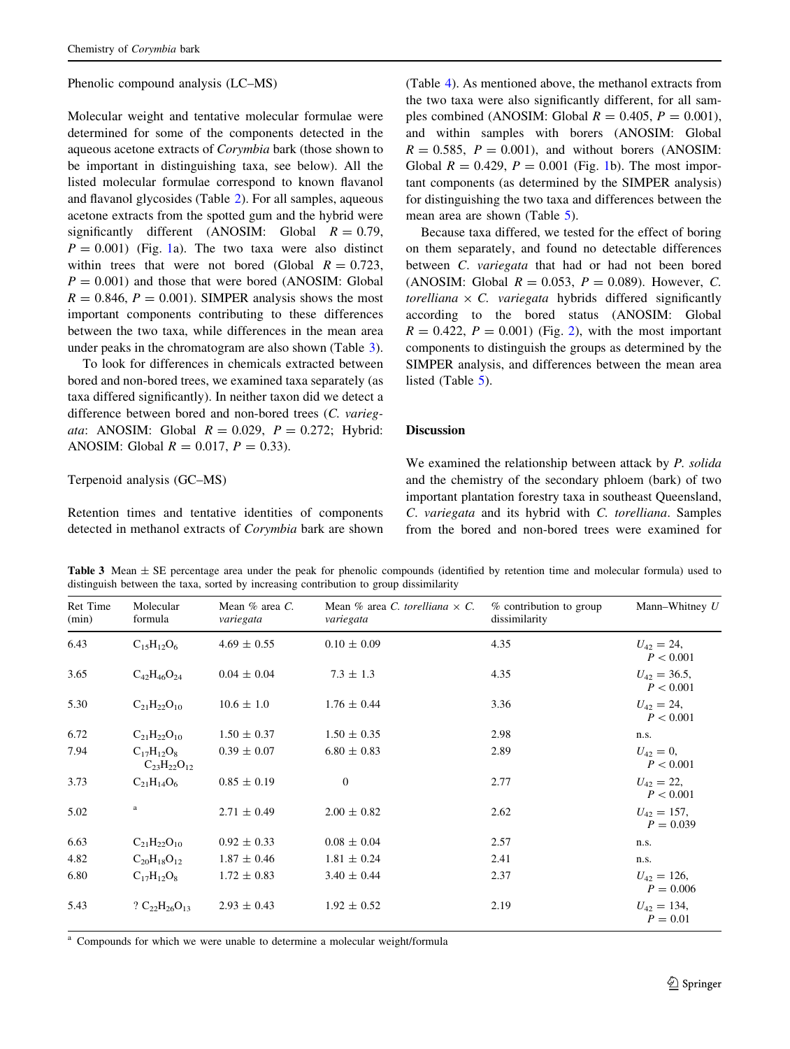#### Phenolic compound analysis (LC–MS)

Molecular weight and tentative molecular formulae were determined for some of the components detected in the aqueous acetone extracts of Corymbia bark (those shown to be important in distinguishing taxa, see below). All the listed molecular formulae correspond to known flavanol and flavanol glycosides (Table [2\)](#page-3-0). For all samples, aqueous acetone extracts from the spotted gum and the hybrid were significantly different (ANOSIM: Global  $R = 0.79$ ,  $P = 0.001$ ) (Fig. [1a](#page-3-0)). The two taxa were also distinct within trees that were not bored (Global  $R = 0.723$ ,  $P = 0.001$ ) and those that were bored (ANOSIM: Global  $R = 0.846$ ,  $P = 0.001$ ). SIMPER analysis shows the most important components contributing to these differences between the two taxa, while differences in the mean area under peaks in the chromatogram are also shown (Table 3).

To look for differences in chemicals extracted between bored and non-bored trees, we examined taxa separately (as taxa differed significantly). In neither taxon did we detect a difference between bored and non-bored trees (C. variegata: ANOSIM: Global  $R = 0.029$ ,  $P = 0.272$ ; Hybrid: ANOSIM: Global  $R = 0.017$ ,  $P = 0.33$ ).

## Terpenoid analysis (GC–MS)

Retention times and tentative identities of components detected in methanol extracts of Corymbia bark are shown (Table [4\)](#page-5-0). As mentioned above, the methanol extracts from the two taxa were also significantly different, for all samples combined (ANOSIM: Global  $R = 0.405$ ,  $P = 0.001$ ), and within samples with borers (ANOSIM: Global  $R = 0.585$ ,  $P = 0.001$ ), and without borers (ANOSIM: Global  $R = 0.429$ ,  $P = 0.001$  $P = 0.001$  (Fig. 1b). The most important components (as determined by the SIMPER analysis) for distinguishing the two taxa and differences between the mean area are shown (Table [5\)](#page-6-0).

Because taxa differed, we tested for the effect of boring on them separately, and found no detectable differences between C. variegata that had or had not been bored (ANOSIM: Global  $R = 0.053$ ,  $P = 0.089$ ). However, C. torelliana  $\times$  C. variegata hybrids differed significantly according to the bored status (ANOSIM: Global  $R = 0.422$ ,  $P = 0.001$ ) (Fig. [2\)](#page-6-0), with the most important components to distinguish the groups as determined by the SIMPER analysis, and differences between the mean area listed (Table [5\)](#page-6-0).

# Discussion

We examined the relationship between attack by P. solida and the chemistry of the secondary phloem (bark) of two important plantation forestry taxa in southeast Queensland, C. variegata and its hybrid with C. torelliana. Samples from the bored and non-bored trees were examined for

**Table 3** Mean  $\pm$  SE percentage area under the peak for phenolic compounds (identified by retention time and molecular formula) used to distinguish between the taxa, sorted by increasing contribution to group dissimilarity

| Ret Time<br>(min) | Molecular<br>formula                      | Mean $%$ area C.<br>variegata | Mean % area C. torelliana $\times$ C.<br>variegata | % contribution to group<br>dissimilarity | Mann-Whitney $U$                |
|-------------------|-------------------------------------------|-------------------------------|----------------------------------------------------|------------------------------------------|---------------------------------|
| 6.43              | $C_{15}H_{12}O_6$                         | $4.69 \pm 0.55$               | $0.10 \pm 0.09$                                    | 4.35                                     | $U_{42} = 24,$<br>P < 0.001     |
| 3.65              | $C_{42}H_{46}O_{24}$                      | $0.04 \pm 0.04$               | $7.3 \pm 1.3$                                      | 4.35                                     | $U_{42} = 36.5$ ,<br>P < 0.001  |
| 5.30              | $C_{21}H_{22}O_{10}$                      | $10.6 \pm 1.0$                | $1.76 \pm 0.44$                                    | 3.36                                     | $U_{42} = 24$ ,<br>P < 0.001    |
| 6.72              | $C_{21}H_{22}O_{10}$                      | $1.50 \pm 0.37$               | $1.50 \pm 0.35$                                    | 2.98                                     | n.s.                            |
| 7.94              | $C_{17}H_{12}O_8$<br>$C_{23}H_{22}O_{12}$ | $0.39 \pm 0.07$               | $6.80 \pm 0.83$                                    | 2.89                                     | $U_{42} = 0$ ,<br>P < 0.001     |
| 3.73              | $C_{21}H_{14}O_6$                         | $0.85 \pm 0.19$               | $\overline{0}$                                     | 2.77                                     | $U_{42} = 22,$<br>P < 0.001     |
| 5.02              | a                                         | $2.71 \pm 0.49$               | $2.00 \pm 0.82$                                    | 2.62                                     | $U_{42} = 157$ ,<br>$P = 0.039$ |
| 6.63              | $C_{21}H_{22}O_{10}$                      | $0.92 \pm 0.33$               | $0.08 \pm 0.04$                                    | 2.57                                     | n.s.                            |
| 4.82              | $C_{20}H_{18}O_{12}$                      | $1.87 \pm 0.46$               | $1.81 \pm 0.24$                                    | 2.41                                     | n.s.                            |
| 6.80              | $C_{17}H_{12}O_8$                         | $1.72 \pm 0.83$               | $3.40 \pm 0.44$                                    | 2.37                                     | $U_{42} = 126$ ,<br>$P = 0.006$ |
| 5.43              | ? $C_{22}H_{26}O_{13}$                    | $2.93 \pm 0.43$               | $1.92 \pm 0.52$                                    | 2.19                                     | $U_{42} = 134$ ,<br>$P = 0.01$  |

<sup>a</sup> Compounds for which we were unable to determine a molecular weight/formula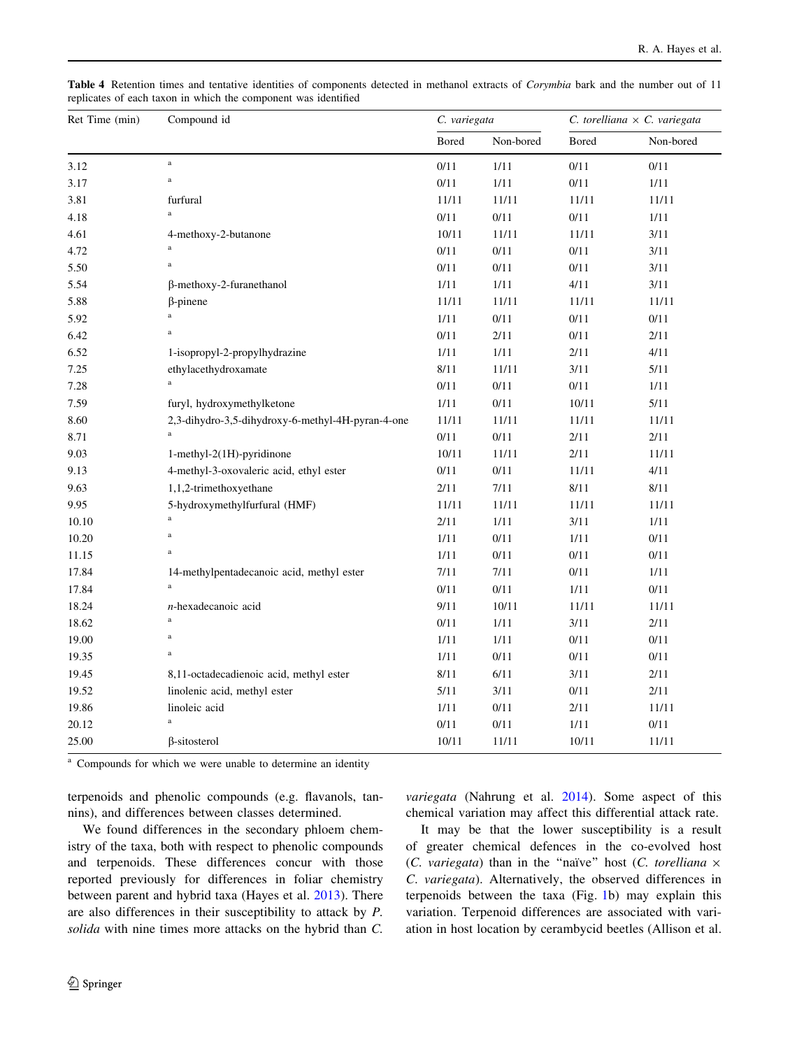| Ret Time (min) | Compound id                                       | C. variegata |           | C. torelliana $\times$ C. variegata |           |
|----------------|---------------------------------------------------|--------------|-----------|-------------------------------------|-----------|
|                |                                                   | Bored        | Non-bored | Bored                               | Non-bored |
| 3.12           | $\mathbf{a}$                                      | 0/11         | 1/11      | 0/11                                | 0/11      |
| 3.17           | $\bf{a}$                                          | 0/11         | 1/11      | $0/11$                              | $1/11$    |
| 3.81           | furfural                                          | 11/11        | 11/11     | 11/11                               | 11/11     |
| 4.18           | $\bf a$                                           | 0/11         | 0/11      | 0/11                                | 1/11      |
| 4.61           | 4-methoxy-2-butanone                              | 10/11        | 11/11     | 11/11                               | 3/11      |
| 4.72           | $\mathbf{a}$                                      | $0/11$       | 0/11      | 0/11                                | 3/11      |
| 5.50           | $\bf{a}$                                          | $0/11$       | 0/11      | $0/11$                              | 3/11      |
| 5.54           | $\beta$ -methoxy-2-furanethanol                   | 1/11         | 1/11      | 4/11                                | 3/11      |
| 5.88           | $\beta$ -pinene                                   | 11/11        | 11/11     | 11/11                               | 11/11     |
| 5.92           | $\bf a$                                           | 1/11         | 0/11      | 0/11                                | $0/11$    |
| 6.42           | $\bf{a}$                                          | $0/11$       | 2/11      | 0/11                                | 2/11      |
| 6.52           | 1-isopropyl-2-propylhydrazine                     | 1/11         | 1/11      | 2/11                                | 4/11      |
| 7.25           | ethylacethydroxamate                              | 8/11         | 11/11     | 3/11                                | 5/11      |
| 7.28           | $\bf{a}$                                          | 0/11         | 0/11      | 0/11                                | 1/11      |
| 7.59           | furyl, hydroxymethylketone                        | 1/11         | 0/11      | 10/11                               | $5/11$    |
| 8.60           | 2,3-dihydro-3,5-dihydroxy-6-methyl-4H-pyran-4-one | 11/11        | 11/11     | 11/11                               | 11/11     |
| 8.71           | $\bf{a}$                                          | $0/11$       | 0/11      | 2/11                                | 2/11      |
| 9.03           | 1-methyl-2(1H)-pyridinone                         | 10/11        | 11/11     | 2/11                                | 11/11     |
| 9.13           | 4-methyl-3-oxovaleric acid, ethyl ester           | 0/11         | 0/11      | 11/11                               | 4/11      |
| 9.63           | 1,1,2-trimethoxyethane                            | 2/11         | $7/11$    | 8/11                                | $8/11$    |
| 9.95           | 5-hydroxymethylfurfural (HMF)                     | 11/11        | 11/11     | 11/11                               | 11/11     |
| 10.10          | $\bf a$                                           | 2/11         | 1/11      | 3/11                                | 1/11      |
| 10.20          | $\bf{a}$                                          | 1/11         | 0/11      | 1/11                                | $0/11$    |
| 11.15          | $\bf{a}$                                          | 1/11         | 0/11      | 0/11                                | $0/11$    |
| 17.84          | 14-methylpentadecanoic acid, methyl ester         | 7/11         | 7/11      | 0/11                                | $1/11$    |
| 17.84          | $\mathbf{a}$                                      | $0/11$       | 0/11      | 1/11                                | 0/11      |
| 18.24          | $n$ -hexadecanoic acid                            | 9/11         | 10/11     | 11/11                               | 11/11     |
| 18.62          | $\rm{a}$                                          | 0/11         | 1/11      | 3/11                                | 2/11      |
| 19.00          | $\bf{a}$                                          | 1/11         | 1/11      | 0/11                                | 0/11      |
| 19.35          | $\bf{a}$                                          | 1/11         | 0/11      | 0/11                                | $0/11$    |
| 19.45          | 8,11-octadecadienoic acid, methyl ester           | 8/11         | 6/11      | 3/11                                | 2/11      |
| 19.52          | linolenic acid, methyl ester                      | 5/11         | 3/11      | 0/11                                | 2/11      |
| 19.86          | linoleic acid                                     | 1/11         | 0/11      | 2/11                                | 11/11     |
| 20.12          | $\bf a$                                           | 0/11         | 0/11      | 1/11                                | 0/11      |
| 25.00          | $\beta$ -sitosterol                               | 10/11        | 11/11     | 10/11                               | 11/11     |

<span id="page-5-0"></span>Table 4 Retention times and tentative identities of components detected in methanol extracts of Corymbia bark and the number out of 11 replicates of each taxon in which the component was identified

<sup>a</sup> Compounds for which we were unable to determine an identity

terpenoids and phenolic compounds (e.g. flavanols, tannins), and differences between classes determined.

We found differences in the secondary phloem chemistry of the taxa, both with respect to phenolic compounds and terpenoids. These differences concur with those reported previously for differences in foliar chemistry between parent and hybrid taxa (Hayes et al. [2013\)](#page-8-0). There are also differences in their susceptibility to attack by P. solida with nine times more attacks on the hybrid than C.

variegata (Nahrung et al. [2014\)](#page-8-0). Some aspect of this chemical variation may affect this differential attack rate.

It may be that the lower susceptibility is a result of greater chemical defences in the co-evolved host (C. variegata) than in the "naïve" host (C. torelliana  $\times$ C. variegata). Alternatively, the observed differences in terpenoids between the taxa (Fig. [1b](#page-3-0)) may explain this variation. Terpenoid differences are associated with variation in host location by cerambycid beetles (Allison et al.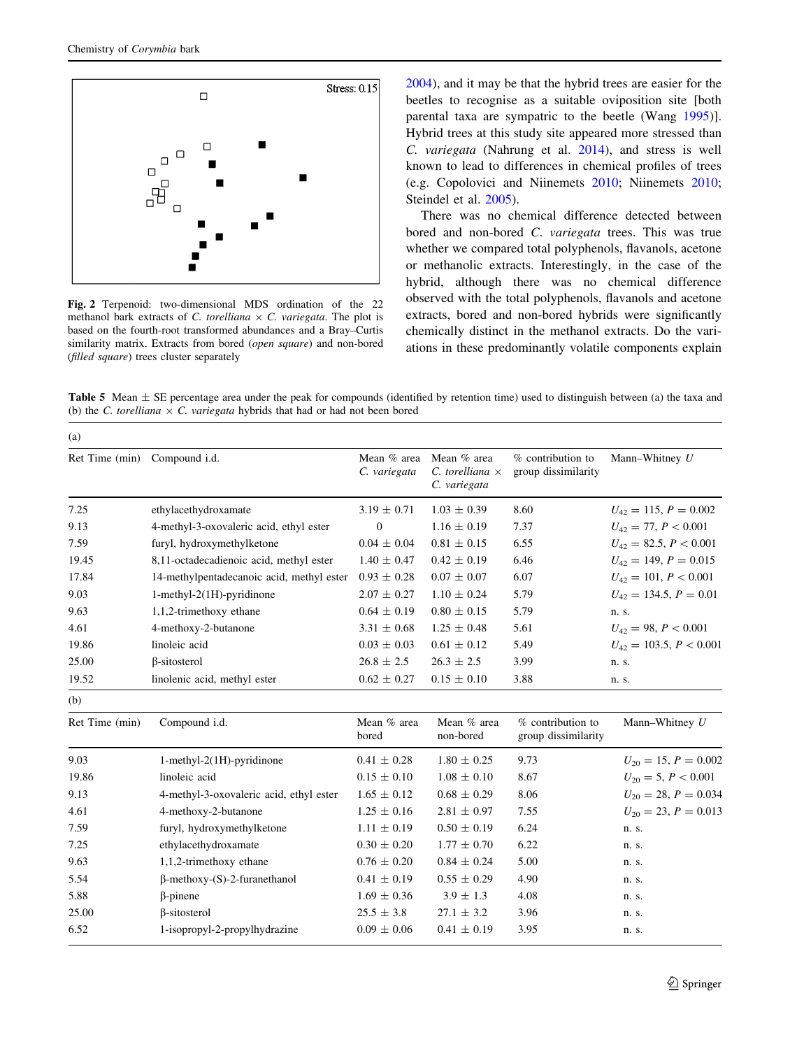(a)

<span id="page-6-0"></span>

Fig. 2 Terpenoid: two-dimensional MDS ordination of the 22 methanol bark extracts of C. torelliana  $\times$  C. variegata. The plot is based on the fourth-root transformed abundances and a Bray–Curtis similarity matrix. Extracts from bored (open square) and non-bored (filled square) trees cluster separately

[2004](#page-7-0)), and it may be that the hybrid trees are easier for the beetles to recognise as a suitable oviposition site [both parental taxa are sympatric to the beetle (Wang [1995](#page-8-0))]. Hybrid trees at this study site appeared more stressed than C. variegata (Nahrung et al. [2014](#page-8-0)), and stress is well known to lead to differences in chemical profiles of trees (e.g. Copolovici and Niinemets [2010](#page-7-0); Niinemets [2010](#page-8-0); Steindel et al. [2005\)](#page-8-0).

There was no chemical difference detected between bored and non-bored C. variegata trees. This was true whether we compared total polyphenols, flavanols, acetone or methanolic extracts. Interestingly, in the case of the hybrid, although there was no chemical difference observed with the total polyphenols, flavanols and acetone extracts, bored and non-bored hybrids were significantly chemically distinct in the methanol extracts. Do the variations in these predominantly volatile components explain

Table 5 Mean  $\pm$  SE percentage area under the peak for compounds (identified by retention time) used to distinguish between (a) the taxa and (b) the C. torelliana  $\times$  C. variegata hybrids that had or had not been bored

| Ret Time (min) | Compound i.d.                             | Mean % area<br>C. variegata | Mean % area<br>$C.$ torelliana $\times$<br>C. variegata | % contribution to<br>group dissimilarity | Mann-Whitney U              |
|----------------|-------------------------------------------|-----------------------------|---------------------------------------------------------|------------------------------------------|-----------------------------|
| 7.25           | ethylacethydroxamate                      | $3.19 \pm 0.71$             | $1.03 \pm 0.39$                                         | 8.60                                     | $U_{42} = 115, P = 0.002$   |
| 9.13           | 4-methyl-3-oxovaleric acid, ethyl ester   | $\boldsymbol{0}$            | $1.16 \pm 0.19$                                         | 7.37                                     | $U_{42} = 77, P < 0.001$    |
| 7.59           | furyl, hydroxymethylketone                | $0.04 \pm 0.04$             | $0.81 \pm 0.15$                                         | 6.55                                     | $U_{42} = 82.5, P < 0.001$  |
| 19.45          | 8,11-octadecadienoic acid, methyl ester   | $1.40 \pm 0.47$             | $0.42 \pm 0.19$                                         | 6.46                                     | $U_{42} = 149, P = 0.015$   |
| 17.84          | 14-methylpentadecanoic acid, methyl ester | $0.93 \pm 0.28$             | $0.07 \pm 0.07$                                         | 6.07                                     | $U_{42} = 101, P < 0.001$   |
| 9.03           | $1$ -methyl- $2(1H)$ -pyridinone          | $2.07 \pm 0.27$             | $1.10 \pm 0.24$                                         | 5.79                                     | $U_{42} = 134.5, P = 0.01$  |
| 9.63           | 1,1,2-trimethoxy ethane                   | $0.64 \pm 0.19$             | $0.80 \pm 0.15$                                         | 5.79                                     | n. s.                       |
| 4.61           | 4-methoxy-2-butanone                      | $3.31 \pm 0.68$             | $1.25 \pm 0.48$                                         | 5.61                                     | $U_{42} = 98, P < 0.001$    |
| 19.86          | linoleic acid                             | $0.03 \pm 0.03$             | $0.61 \pm 0.12$                                         | 5.49                                     | $U_{42} = 103.5, P < 0.001$ |
| 25.00          | <b>B-sitosterol</b>                       | $26.8 \pm 2.5$              | $26.3 \pm 2.5$                                          | 3.99                                     | n. s.                       |
| 19.52          | linolenic acid, methyl ester              | $0.62 \pm 0.27$             | $0.15 \pm 0.10$                                         | 3.88                                     | n. s.                       |
| (b)            |                                           |                             |                                                         |                                          |                             |
| Ret Time (min) | Compound i.d.                             | Mean % area<br>bored        | Mean % area<br>non-bored                                | % contribution to<br>group dissimilarity | Mann-Whitney $U$            |
| 9.03           | 1-methyl-2(1H)-pyridinone                 | $0.41 \pm 0.28$             | $1.80 \pm 0.25$                                         | 9.73                                     | $U_{20} = 15, P = 0.002$    |
| 19.86          | linoleic acid                             | $0.15 \pm 0.10$             | $1.08 \pm 0.10$                                         | 8.67                                     | $U_{20} = 5, P < 0.001$     |
| 9.13           | 4-methyl-3-oxovaleric acid, ethyl ester   | $1.65 \pm 0.12$             | $0.68 \pm 0.29$                                         | 8.06                                     | $U_{20} = 28, P = 0.034$    |
| 4.61           | 4-methoxy-2-butanone                      | $1.25 \pm 0.16$             | $2.81 \pm 0.97$                                         | 7.55                                     | $U_{20} = 23, P = 0.013$    |
| 7.59           | furyl, hydroxymethylketone                | $1.11 \pm 0.19$             | $0.50 \pm 0.19$                                         | 6.24                                     | n. s.                       |
| 7.25           | ethylacethydroxamate                      | $0.30 \pm 0.20$             | $1.77 \pm 0.70$                                         | 6.22                                     | n. s.                       |
| 9.63           | 1,1,2-trimethoxy ethane                   | $0.76 \pm 0.20$             | $0.84 \pm 0.24$                                         | 5.00                                     | n. s.                       |
| 5.54           | $\beta$ -methoxy-(S)-2-furanethanol       | $0.41 \pm 0.19$             | $0.55 \pm 0.29$                                         | 4.90                                     | n. s.                       |
| 5.88           | $\beta$ -pinene                           | $1.69 \pm 0.36$             | $3.9 \pm 1.3$                                           | 4.08                                     | n. s.                       |
| 25.00          | β-sitosterol                              | $25.5 \pm 3.8$              | $27.1 \pm 3.2$                                          | 3.96                                     | n. s.                       |
| 6.52           | 1-isopropyl-2-propylhydrazine             | $0.09 \pm 0.06$             | $0.41 \pm 0.19$                                         | 3.95                                     | n. s.                       |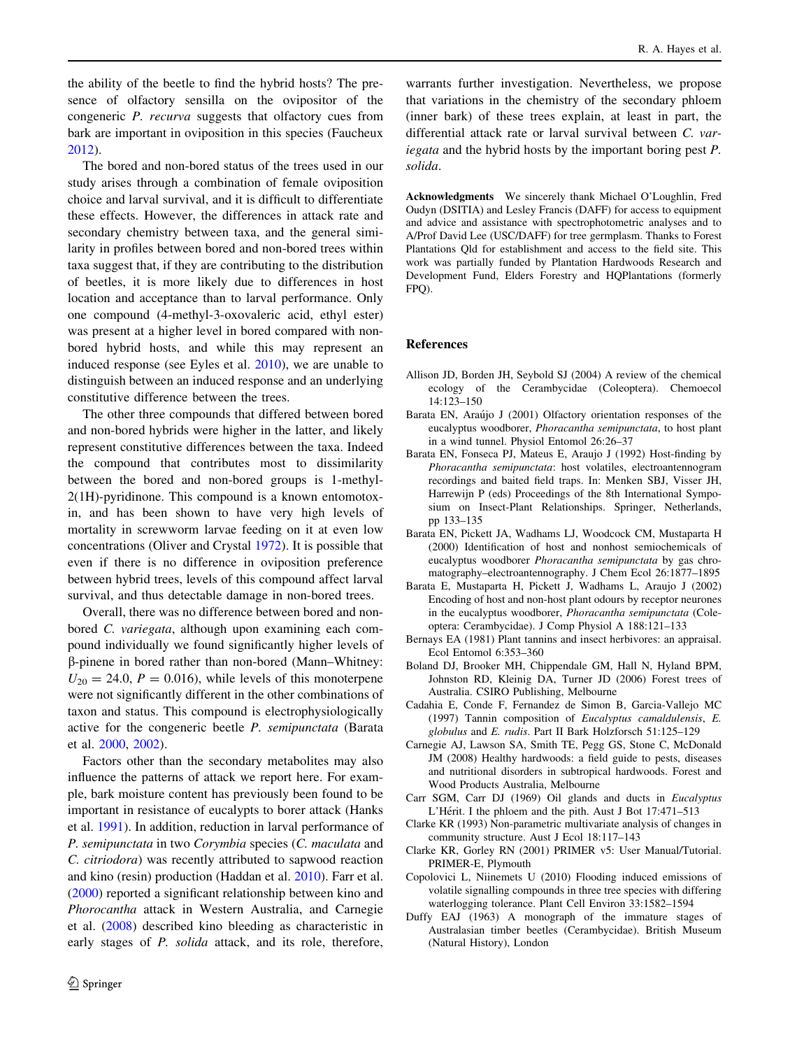<span id="page-7-0"></span>the ability of the beetle to find the hybrid hosts? The presence of olfactory sensilla on the ovipositor of the congeneric P. recurva suggests that olfactory cues from bark are important in oviposition in this species (Faucheux [2012\)](#page-8-0).

The bored and non-bored status of the trees used in our study arises through a combination of female oviposition choice and larval survival, and it is difficult to differentiate these effects. However, the differences in attack rate and secondary chemistry between taxa, and the general similarity in profiles between bored and non-bored trees within taxa suggest that, if they are contributing to the distribution of beetles, it is more likely due to differences in host location and acceptance than to larval performance. Only one compound (4-methyl-3-oxovaleric acid, ethyl ester) was present at a higher level in bored compared with nonbored hybrid hosts, and while this may represent an induced response (see Eyles et al. [2010](#page-8-0)), we are unable to distinguish between an induced response and an underlying constitutive difference between the trees.

The other three compounds that differed between bored and non-bored hybrids were higher in the latter, and likely represent constitutive differences between the taxa. Indeed the compound that contributes most to dissimilarity between the bored and non-bored groups is 1-methyl-2(1H)-pyridinone. This compound is a known entomotoxin, and has been shown to have very high levels of mortality in screwworm larvae feeding on it at even low concentrations (Oliver and Crystal [1972](#page-8-0)). It is possible that even if there is no difference in oviposition preference between hybrid trees, levels of this compound affect larval survival, and thus detectable damage in non-bored trees.

Overall, there was no difference between bored and nonbored C. variegata, although upon examining each compound individually we found significantly higher levels of b-pinene in bored rather than non-bored (Mann–Whitney:  $U_{20} = 24.0, P = 0.016$ , while levels of this monoterpene were not significantly different in the other combinations of taxon and status. This compound is electrophysiologically active for the congeneric beetle P. semipunctata (Barata et al. 2000, 2002).

Factors other than the secondary metabolites may also influence the patterns of attack we report here. For example, bark moisture content has previously been found to be important in resistance of eucalypts to borer attack (Hanks et al. [1991](#page-8-0)). In addition, reduction in larval performance of P. semipunctata in two Corymbia species (C. maculata and C. citriodora) was recently attributed to sapwood reaction and kino (resin) production (Haddan et al. [2010\)](#page-8-0). Farr et al. [\(2000](#page-8-0)) reported a significant relationship between kino and Phorocantha attack in Western Australia, and Carnegie et al. (2008) described kino bleeding as characteristic in early stages of P. solida attack, and its role, therefore,

warrants further investigation. Nevertheless, we propose that variations in the chemistry of the secondary phloem (inner bark) of these trees explain, at least in part, the differential attack rate or larval survival between C. variegata and the hybrid hosts by the important boring pest P. solida.

Acknowledgments We sincerely thank Michael O'Loughlin, Fred Oudyn (DSITIA) and Lesley Francis (DAFF) for access to equipment and advice and assistance with spectrophotometric analyses and to A/Prof David Lee (USC/DAFF) for tree germplasm. Thanks to Forest Plantations Qld for establishment and access to the field site. This work was partially funded by Plantation Hardwoods Research and Development Fund, Elders Forestry and HQPlantations (formerly FPQ).

#### References

- Allison JD, Borden JH, Seybold SJ (2004) A review of the chemical ecology of the Cerambycidae (Coleoptera). Chemoecol 14:123–150
- Barata EN, Araújo J (2001) Olfactory orientation responses of the eucalyptus woodborer, Phoracantha semipunctata, to host plant in a wind tunnel. Physiol Entomol 26:26–37
- Barata EN, Fonseca PJ, Mateus E, Araujo J (1992) Host-finding by Phoracantha semipunctata: host volatiles, electroantennogram recordings and baited field traps. In: Menken SBJ, Visser JH, Harrewijn P (eds) Proceedings of the 8th International Symposium on Insect-Plant Relationships. Springer, Netherlands, pp 133–135
- Barata EN, Pickett JA, Wadhams LJ, Woodcock CM, Mustaparta H (2000) Identification of host and nonhost semiochemicals of eucalyptus woodborer Phoracantha semipunctata by gas chromatography–electroantennography. J Chem Ecol 26:1877–1895
- Barata E, Mustaparta H, Pickett J, Wadhams L, Araujo J (2002) Encoding of host and non-host plant odours by receptor neurones in the eucalyptus woodborer, Phoracantha semipunctata (Coleoptera: Cerambycidae). J Comp Physiol A 188:121–133
- Bernays EA (1981) Plant tannins and insect herbivores: an appraisal. Ecol Entomol 6:353–360
- Boland DJ, Brooker MH, Chippendale GM, Hall N, Hyland BPM, Johnston RD, Kleinig DA, Turner JD (2006) Forest trees of Australia. CSIRO Publishing, Melbourne
- Cadahia E, Conde F, Fernandez de Simon B, Garcia-Vallejo MC (1997) Tannin composition of Eucalyptus camaldulensis, E. globulus and E. rudis. Part II Bark Holzforsch 51:125–129
- Carnegie AJ, Lawson SA, Smith TE, Pegg GS, Stone C, McDonald JM (2008) Healthy hardwoods: a field guide to pests, diseases and nutritional disorders in subtropical hardwoods. Forest and Wood Products Australia, Melbourne
- Carr SGM, Carr DJ (1969) Oil glands and ducts in Eucalyptus L'Hérit. I the phloem and the pith. Aust J Bot 17:471-513
- Clarke KR (1993) Non-parametric multivariate analysis of changes in community structure. Aust J Ecol 18:117–143
- Clarke KR, Gorley RN (2001) PRIMER v5: User Manual/Tutorial. PRIMER-E, Plymouth
- Copolovici L, Niinemets U (2010) Flooding induced emissions of volatile signalling compounds in three tree species with differing waterlogging tolerance. Plant Cell Environ 33:1582–1594
- Duffy EAJ (1963) A monograph of the immature stages of Australasian timber beetles (Cerambycidae). British Museum (Natural History), London